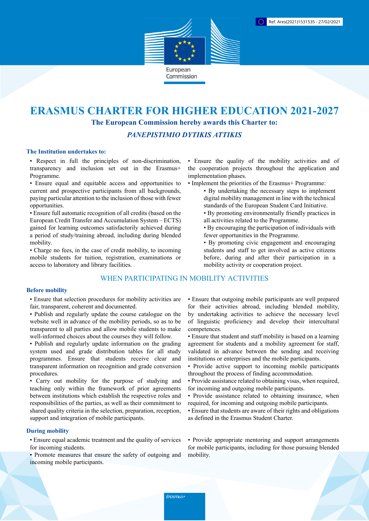

# **ERASMUS CHARTER FOR HIGHER EDUCATION 2021-2027 The European Commission hereby awards this Charter to:**

## *PANEPISTIMIO DYTIKIS ATTIKIS*

## **The Institution undertakes to:**

• Respect in full the principles of non-discrimination, transparency and inclusion set out in the Erasmus+ Programme.

• Ensure equal and equitable access and opportunities to current and prospective participants from all backgrounds, paying particular attention to the inclusion of those with fewer opportunities.

• Ensure full automatic recognition of all credits (based on the European Credit Transfer and Accumulation System – ECTS) gained for learning outcomes satisfactorily achieved during a period of study/training abroad, including during blended mobility.

• Charge no fees, in the case of credit mobility, to incoming mobile students for tuition, registration, examinations or access to laboratory and library facilities.

# WHEN PARTICIPATING IN MOBILITY ACTIVITIES

#### **Before mobility**

• Ensure that selection procedures for mobility activities are fair, transparent, coherent and documented.

- Publish and regularly update the course catalogue on the website well in advance of the mobility periods, so as to be transparent to all parties and allow mobile students to make well-informed choices about the courses they will follow.
- Publish and regularly update information on the grading system used and grade distribution tables for all study programmes. Ensure that students receive clear and transparent information on recognition and grade conversion procedures.

• Carry out mobility for the purpose of studying and teaching only within the framework of prior agreements between institutions which establish the respective roles and responsibilities of the parties, as well as their commitment to shared quality criteria in the selection, preparation, reception, support and integration of mobile participants.

#### **During mobility**

• Ensure equal academic treatment and the quality of services for incoming students.

• Promote measures that ensure the safety of outgoing and incoming mobile participants.

• Ensure the quality of the mobility activities and of the cooperation projects throughout the application and implementation phases.

- Implement the priorities of the Erasmus+ Programme:
	- By undertaking the necessary steps to implement digital mobility management in line with the technical standards of the European Student Card Initiative.
	- By promoting environmentally friendly practices in all activities related to the Programme.
	- By encouraging the participation of individuals with fewer opportunities in the Programme.
	- By promoting civic engagement and encouraging students and staff to get involved as active citizens before, during and after their participation in a mobility activity or cooperation project.

• Ensure that outgoing mobile participants are well prepared for their activities abroad, including blended mobility, by undertaking activities to achieve the necessary level of linguistic proficiency and develop their intercultural competences.

- Ensure that student and staff mobility is based on a learning agreement for students and a mobility agreement for staff, validated in advance between the sending and receiving institutions or enterprises and the mobile participants.
- Provide active support to incoming mobile participants throughout the process of finding accommodation.
- Provide assistance related to obtaining visas, when required, for incoming and outgoing mobile participants.
- Provide assistance related to obtaining insurance, when required, for incoming and outgoing mobile participants.
- Ensure that students are aware of their rights and obligations as defined in the Erasmus Student Charter.

• Provide appropriate mentoring and support arrangements for mobile participants, including for those pursuing blended mobility.

Erasmus+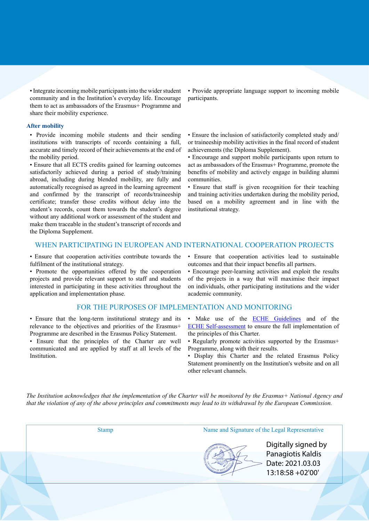• Integrate incoming mobile participants into the wider student community and in the Institution's everyday life. Encourage them to act as ambassadors of the Erasmus+ Programme and share their mobility experience.

#### **After mobility**

• Provide incoming mobile students and their sending institutions with transcripts of records containing a full, accurate and timely record of their achievements at the end of the mobility period.

• Ensure that all ECTS credits gained for learning outcomes satisfactorily achieved during a period of study/training abroad, including during blended mobility, are fully and automatically recognised as agreed in the learning agreement and confirmed by the transcript of records/traineeship certificate; transfer those credits without delay into the student's records, count them towards the student's degree without any additional work or assessment of the student and make them traceable in the student's transcript of records and the Diploma Supplement.

• Provide appropriate language support to incoming mobile participants.

• Ensure the inclusion of satisfactorily completed study and/ or traineeship mobility activities in the final record of student achievements (the Diploma Supplement).

• Encourage and support mobile participants upon return to act as ambassadors of the Erasmus+ Programme, promote the benefits of mobility and actively engage in building alumni communities.

• Ensure that staff is given recognition for their teaching and training activities undertaken during the mobility period, based on a mobility agreement and in line with the institutional strategy.

## WHEN PARTICIPATING IN EUROPEAN AND INTERNATIONAL COOPERATION PROJECTS

• Ensure that cooperation activities contribute towards the fulfilment of the institutional strategy.

• Promote the opportunities offered by the cooperation projects and provide relevant support to staff and students interested in participating in these activities throughout the application and implementation phase.

#### FOR THE PURPOSES OF IMPLEMENTATION AND MONITORING

• Ensure that the long-term institutional strategy and its relevance to the objectives and priorities of the Erasmus+ Programme are described in the Erasmus Policy Statement.

• Ensure that the principles of the Charter are well communicated and are applied by staff at all levels of the Institution.

• Ensure that cooperation activities lead to sustainable outcomes and that their impact benefits all partners.

• Encourage peer-learning activities and exploit the results of the projects in a way that will maximise their impact on individuals, other participating institutions and the wider academic community.

- Make use of the **ECHE Guidelines** and of the [ECHE Self-assessment](https://ec.europa.eu/programmes/erasmus-plus/eche/start_en) to ensure the full implementation of the principles of this Charter.
- Regularly promote activities supported by the Erasmus+ Programme, along with their results.
- Display this Charter and the related Erasmus Policy Statement prominently on the Institution's website and on all other relevant channels.

The Institution acknowledges that the implementation of the Charter will be monitored by the Erasmus+ National Agency and that the violation of any of the above principles and commitments may lead to its withdrawal by the European Commission.

Stamp Name and Signature of the Legal Representative

Digitally signed by Panagiotis Kaldis Date: 2021.03.03 13:18:58 +02'00'